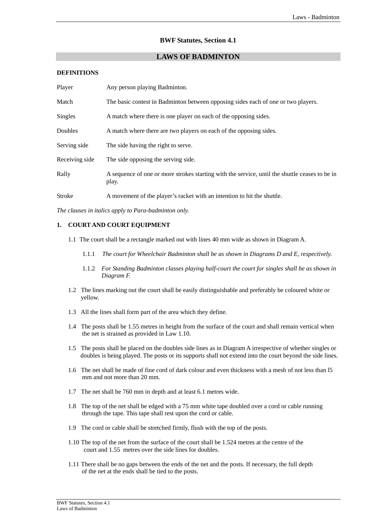# **BWF Statutes, Section 4.1**

## **LAWS OF BADMINTON**

#### **DEFINITIONS**

| Player         | Any person playing Badminton.                                                                           |
|----------------|---------------------------------------------------------------------------------------------------------|
| Match          | The basic contest in Badminton between opposing sides each of one or two players.                       |
| Singles        | A match where there is one player on each of the opposing sides.                                        |
| Doubles        | A match where there are two players on each of the opposing sides.                                      |
| Serving side   | The side having the right to serve.                                                                     |
| Receiving side | The side opposing the serving side.                                                                     |
| Rally          | A sequence of one or more strokes starting with the service, until the shuttle ceases to be in<br>play. |
| Stroke         | A movement of the player's racket with an intention to hit the shuttle.                                 |

*The clauses in italics apply to Para-badminton only.* 

## **1. COURT AND COURT EQUIPMENT**

- 1.1 The court shall be a rectangle marked out with lines 40 mm wide as shown in Diagram A.
	- 1.1.1 *The court for Wheelchair Badminton shall be as shown in Diagrams D and E, respectively.*
	- 1.1.2 *For Standing Badminton classes playing half-court the court for singles shall be as shown in Diagram F.*
- 1.2 The lines marking out the court shall be easily distinguishable and preferably be coloured white or yellow.
- 1.3 All the lines shall form part of the area which they define.
- 1.4 The posts shall be 1.55 metres in height from the surface of the court and shall remain vertical when the net is strained as provided in Law 1.10.
- 1.5 The posts shall be placed on the doubles side lines as in Diagram A irrespective of whether singles or doubles is being played. The posts or its supports shall not extend into the court beyond the side lines.
- 1.6 The net shall be made of fine cord of dark colour and even thickness with a mesh of not less than l5 mm and not more than 20 mm.
- 1.7 The net shall be 760 mm in depth and at least 6.1 metres wide.
- 1.8 The top of the net shall be edged with a 75 mm white tape doubled over a cord or cable running through the tape. This tape shall rest upon the cord or cable.
- 1.9 The cord or cable shall be stretched firmly, flush with the top of the posts.
- 1.10 The top of the net from the surface of the court shall be 1.524 metres at the centre of the court and 1.55 metres over the side lines for doubles.
- 1.11 There shall be no gaps between the ends of the net and the posts. If necessary, the full depth of the net at the ends shall be tied to the posts.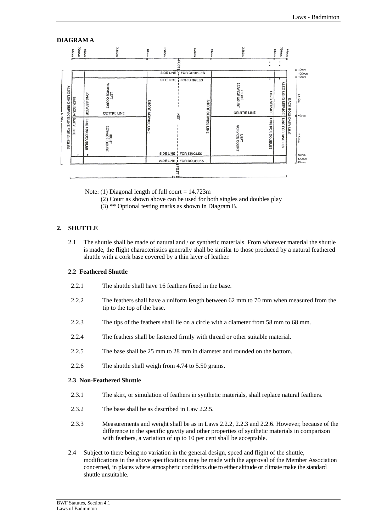#### **DIAGRAM A J.EEOrr** 3.880m **AGeach** ğ **PORTU** 1.980m 1.980rr Ę SIDE LINE T FOR DOUBLES  $\frac{420}{10}$ SIDE LINE 1 FOR SINGLES **RIGHT<br>SERVICE COURT** ALSO LONG SERVICE LEFT<br>SERNCE COURT **ALSO LONG SERVICE LINE FOR SINGLES** LONG SERVICE ONG BERVICE **BACK BOUN DARY LINE BACK** χ SHORT EHOHS BOUNDARY LINE CENTRE LINE **CENTRE LINE** SERVICE LINE SERVICE LINE 孟 LINE FOR SINGLES LINE FOR DOUBLES LINE FOR DOUBLES LEFT<br>SERVICE COURT **RIGHT<br>SERVICE COURT** ğ SIDE LINE | FOR SINGLES  $420m$ SIDE LINE , FOR DOUBLES **SO<sub>d</sub>**

Note: (1) Diagonal length of full court  $= 14.723$ m

- (2) Court as shown above can be used for both singles and doubles play
- (3) \*\* Optional testing marks as shown in Diagram B.

# **2. SHUTTLE**

2.1 The shuttle shall be made of natural and / or synthetic materials. From whatever material the shuttle is made, the flight characteristics generally shall be similar to those produced by a natural feathered shuttle with a cork base covered by a thin layer of leather.

## **2.2 Feathered Shuttle**

- 2.2.1 The shuttle shall have 16 feathers fixed in the base.
- 2.2.2 The feathers shall have a uniform length between 62 mm to 70 mm when measured from the tip to the top of the base.
- 2.2.3 The tips of the feathers shall lie on a circle with a diameter from 58 mm to 68 mm.
- 2.2.4 The feathers shall be fastened firmly with thread or other suitable material.
- 2.2.5 The base shall be 25 mm to 28 mm in diameter and rounded on the bottom.
- 2.2.6 The shuttle shall weigh from 4.74 to 5.50 grams.

#### **2.3 Non-Feathered Shuttle**

- 2.3.1 The skirt, or simulation of feathers in synthetic materials, shall replace natural feathers.
- 2.3.2 The base shall be as described in Law 2.2.5.
- 2.3.3 Measurements and weight shall be as in Laws 2.2.2, 2.2.3 and 2.2.6. However, because of the difference in the specific gravity and other properties of synthetic materials in comparison with feathers, a variation of up to 10 per cent shall be acceptable.
- 2.4 Subject to there being no variation in the general design, speed and flight of the shuttle, modifications in the above specifications may be made with the approval of the Member Association concerned, in places where atmospheric conditions due to either altitude or climate make the standard shuttle unsuitable.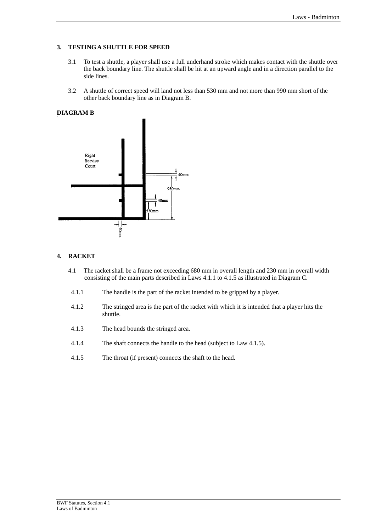# **3. TESTING A SHUTTLE FOR SPEED**

- 3.1 To test a shuttle, a player shall use a full underhand stroke which makes contact with the shuttle over the back boundary line. The shuttle shall be hit at an upward angle and in a direction parallel to the side lines.
- 3.2 A shuttle of correct speed will land not less than 530 mm and not more than 990 mm short of the other back boundary line as in Diagram B.

# **DIAGRAM B**



# **4. RACKET**

- 4.1 The racket shall be a frame not exceeding 680 mm in overall length and 230 mm in overall width consisting of the main parts described in Laws 4.1.1 to 4.1.5 as illustrated in Diagram C.
- 4.1.1 The handle is the part of the racket intended to be gripped by a player.
- 4.1.2 The stringed area is the part of the racket with which it is intended that a player hits the shuttle.
- 4.1.3 The head bounds the stringed area.
- 4.1.4 The shaft connects the handle to the head (subject to Law 4.1.5).
- 4.1.5 The throat (if present) connects the shaft to the head.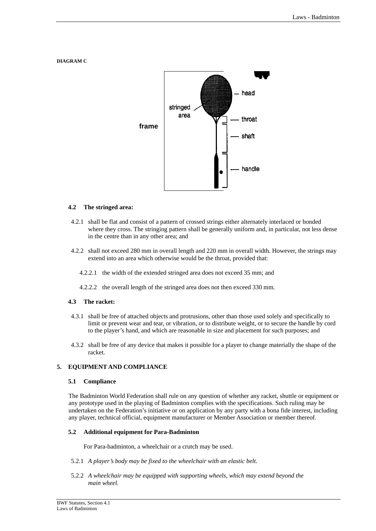# **DIAGRAM C**



#### **4.2 The stringed area:**

- 4.2.1 shall be flat and consist of a pattern of crossed strings either alternately interlaced or bonded where they cross. The stringing pattern shall be generally uniform and, in particular, not less dense in the centre than in any other area; and
- 4.2.2 shall not exceed 280 mm in overall length and 220 mm in overall width. However, the strings may extend into an area which otherwise would be the throat, provided that:
	- 4.2.2.1 the width of the extended stringed area does not exceed 35 mm; and
	- 4.2.2.2 the overall length of the stringed area does not then exceed 330 mm.

## **4.3 The racket:**

- 4.3.1 shall be free of attached objects and protrusions, other than those used solely and specifically to limit or prevent wear and tear, or vibration, or to distribute weight, or to secure the handle by cord to the player's hand, and which are reasonable in size and placement for such purposes; and
- 4.3.2 shall be free of any device that makes it possible for a player to change materially the shape of the racket.

#### **5. EQUIPMENT AND COMPLIANCE**

#### **5.1 Compliance**

The Badminton World Federation shall rule on any question of whether any racket, shuttle or equipment or any prototype used in the playing of Badminton complies with the specifications. Such ruling may be undertaken on the Federation's initiative or on application by any party with a bona fide interest, including any player, technical official, equipment manufacturer or Member Association or member thereof.

#### **5.2 Additional equipment for Para-Badminton**

For Para-badminton, a wheelchair or a crutch may be used.

- 5.2.1 *A player's body may be fixed to the wheelchair with an elastic belt.*
- 5.2.2 *A wheelchair may be equipped with supporting wheels, which may extend beyond the main wheel.*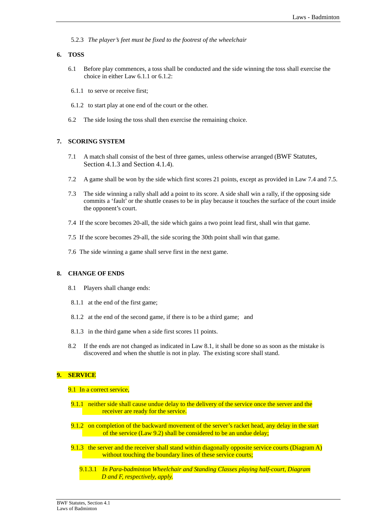5.2.3 *The player's feet must be fixed to the footrest of the wheelchair* 

## **6. TOSS**

- 6.1 Before play commences, a toss shall be conducted and the side winning the toss shall exercise the choice in either Law 6.1.1 or 6.1.2:
- 6.1.1 to serve or receive first;
- 6.1.2 to start play at one end of the court or the other.
- 6.2 The side losing the toss shall then exercise the remaining choice.

## **7. SCORING SYSTEM**

- 7.1 A match shall consist of the best of three games, unless otherwise arranged (BWF Statutes, Section 4.1.3 and Section 4.1.4).
- 7.2 A game shall be won by the side which first scores 21 points, except as provided in Law 7.4 and 7.5.
- 7.3 The side winning a rally shall add a point to its score. A side shall win a rally, if the opposing side commits a 'fault' or the shuttle ceases to be in play because it touches the surface of the court inside the opponent's court.
- 7.4 If the score becomes 20-all, the side which gains a two point lead first, shall win that game.
- 7.5 If the score becomes 29-all, the side scoring the 30th point shall win that game.
- 7.6 The side winning a game shall serve first in the next game.

# **8. CHANGE OF ENDS**

- 8.1 Players shall change ends:
- 8.1.1 at the end of the first game;
- 8.1.2 at the end of the second game, if there is to be a third game; and
- 8.1.3 in the third game when a side first scores 11 points.
- 8.2 If the ends are not changed as indicated in Law 8.1, it shall be done so as soon as the mistake is discovered and when the shuttle is not in play. The existing score shall stand.

## **9. SERVICE**

#### 9.1 In a correct service,

- 9.1.1 neither side shall cause undue delay to the delivery of the service once the server and the receiver are ready for the service.
- 9.1.2 on completion of the backward movement of the server's racket head, any delay in the start of the service (Law 9.2) shall be considered to be an undue delay;
- 9.1.3 the server and the receiver shall stand within diagonally opposite service courts (Diagram A) without touching the boundary lines of these service courts;
	- 9.1.3.1 *In Para-badminton Wheelchair and Standing Classes playing half-court, Diagram D and F, respectively, apply.*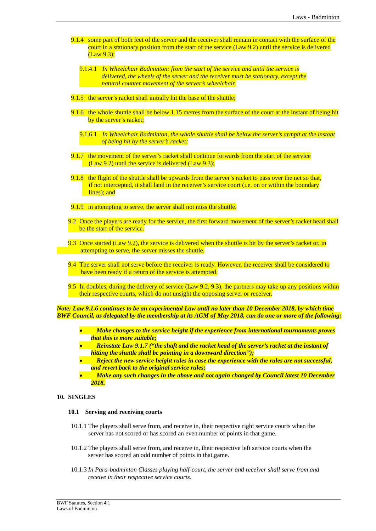- 9.1.4 some part of both feet of the server and the receiver shall remain in contact with the surface of the court in a stationary position from the start of the service (Law 9.2) until the service is delivered (Law 9.3);
	- 9.1.4.1 *In Wheelchair Badminton: from the start of the service and until the service is delivered, the wheels of the server and the receiver must be stationary, except the natural counter movement of the server's wheelchair.*
- 9.1.5 the server's racket shall initially hit the base of the shuttle;
- 9.1.6 the whole shuttle shall be below 1.15 metres from the surface of the court at the instant of being hit by the server's racket;
	- 9.1.6.1 *In Wheelchair Badminton, the whole shuttle shall be below the server's armpit at the instant of being hit by the server's racket;*
- 9.1.7 the movement of the server's racket shall continue forwards from the start of the service (Law 9.2) until the service is delivered (Law 9.3);
- 9.1.8 the flight of the shuttle shall be upwards from the server's racket to pass over the net so that, if not intercepted, it shall land in the receiver's service court (i.e. on or within the boundary lines); and
- 9.1.9 in attempting to serve, the server shall not miss the shuttle.
- 9.2 Once the players are ready for the service, the first forward movement of the server's racket head shall be the start of the service.
- 9.3 Once started (Law 9.2), the service is delivered when the shuttle is hit by the server's racket or, in attempting to serve, the server misses the shuttle.
- 9.4 The server shall not serve before the receiver is ready. However, the receiver shall be considered to have been ready if a return of the service is attempted.
- 9.5 In doubles, during the delivery of service (Law 9.2, 9.3), the partners may take up any positions within their respective courts, which do not unsight the opposing server or receiver.

*Note: Law 9.1.6 continues to be an experimental Law until no later than 10 December 2018, by which time BWF Council, as delegated by the membership at its AGM of May 2018, can do one or more of the following:* 

- *Make changes to the service height if the experience from international tournaments proves that this is more suitable;*
- *Reinstate Law 9.1.7 ("the shaft and the racket head of the server's racket at the instant of hitting the shuttle shall be pointing in a downward direction");*
- *Reject the new service height rules in case the experience with the rules are not successful, and revert back to the original service rules;*
- *Make any such changes in the above and not again changed by Council latest 10 December 2018.*

## **10. SINGLES**

## **10.1 Serving and receiving courts**

- 10.1.1 The players shall serve from, and receive in, their respective right service courts when the server has not scored or has scored an even number of points in that game.
- 10.1.2 The players shall serve from, and receive in, their respective left service courts when the server has scored an odd number of points in that game.
- 10.1.3 *In Para-badminton Classes playing half-court, the server and receiver shall serve from and receive in their respective service courts.*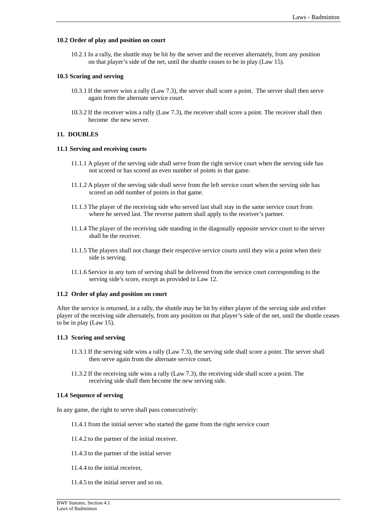## **10.2 Order of play and position on court**

10.2.1 In a rally, the shuttle may be hit by the server and the receiver alternately, from any position on that player's side of the net, until the shuttle ceases to be in play (Law 15).

## **10.3 Scoring and serving**

- 10.3.1 If the server wins a rally (Law 7.3), the server shall score a point. The server shall then serve again from the alternate service court.
- 10.3.2 If the receiver wins a rally (Law 7.3), the receiver shall score a point. The receiver shall then become the new server.

## **11. DOUBLES**

#### **11.1 Serving and receiving courts**

- 11.1.1 A player of the serving side shall serve from the right service court when the serving side has not scored or has scored an even number of points in that game.
- 11.1.2 A player of the serving side shall serve from the left service court when the serving side has scored an odd number of points in that game.
- 11.1.3 The player of the receiving side who served last shall stay in the same service court from where he served last. The reverse pattern shall apply to the receiver's partner.
- 11.1.4 The player of the receiving side standing in the diagonally opposite service court to the server shall be the receiver.
- 11.1.5 The players shall not change their respective service courts until they win a point when their side is serving.
- 11.1.6 Service in any turn of serving shall be delivered from the service court corresponding to the serving side's score, except as provided in Law 12.

## **11.2 Order of play and position on court**

After the service is returned, in a rally, the shuttle may be hit by either player of the serving side and either player of the receiving side alternately, from any position on that player's side of the net, until the shuttle ceases to be in play (Law 15).

#### **11.3 Scoring and serving**

- 11.3.1 If the serving side wins a rally (Law 7.3), the serving side shall score a point. The server shall then serve again from the alternate service court.
- 11.3.2 If the receiving side wins a rally (Law 7.3), the receiving side shall score a point. The receiving side shall then become the new serving side.

## **11.4 Sequence of serving**

In any game, the right to serve shall pass consecutively:

- 11.4.1 from the initial server who started the game from the right service court
- 11.4.2 to the partner of the initial receiver.
- 11.4.3 to the partner of the initial server
- 11.4.4 to the initial receiver,
- 11.4.5 to the initial server and so on.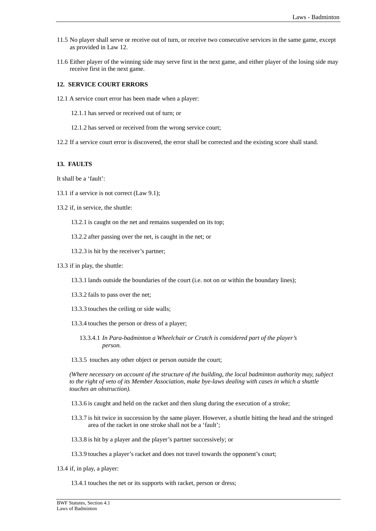- 11.5 No player shall serve or receive out of turn, or receive two consecutive services in the same game, except as provided in Law 12.
- 11.6 Either player of the winning side may serve first in the next game, and either player of the losing side may receive first in the next game.

## **12. SERVICE COURT ERRORS**

12.1 A service court error has been made when a player:

12.1.1 has served or received out of turn; or

- 12.1.2 has served or received from the wrong service court;
- 12.2 If a service court error is discovered, the error shall be corrected and the existing score shall stand.

## **13. FAULTS**

It shall be a 'fault':

- 13.1 if a service is not correct (Law 9.1);
- 13.2 if, in service, the shuttle:
	- 13.2.1 is caught on the net and remains suspended on its top;
	- 13.2.2 after passing over the net, is caught in the net; or
	- 13.2.3 is hit by the receiver's partner;
- 13.3 if in play, the shuttle:
	- 13.3.1 lands outside the boundaries of the court (i.e. not on or within the boundary lines);
	- 13.3.2 fails to pass over the net;
	- 13.3.3 touches the ceiling or side walls;
	- 13.3.4 touches the person or dress of a player;
		- 13.3.4.1 *In Para-badminton a Wheelchair or Crutch is considered part of the player's person.*

13.3.5 touches any other object or person outside the court;

 *(Where necessary on account of the structure of the building, the local badminton authority may, subject to the right of veto of its Member Association, make bye-laws dealing with cases in which a shuttle touches an obstruction).* 

13.3.6 is caught and held on the racket and then slung during the execution of a stroke;

- 13.3.7 is hit twice in succession by the same player. However, a shuttle hitting the head and the stringed area of the racket in one stroke shall not be a 'fault';
- 13.3.8 is hit by a player and the player's partner successively; or
- 13.3.9 touches a player's racket and does not travel towards the opponent's court;
- 13.4 if, in play, a player:

13.4.1 touches the net or its supports with racket, person or dress;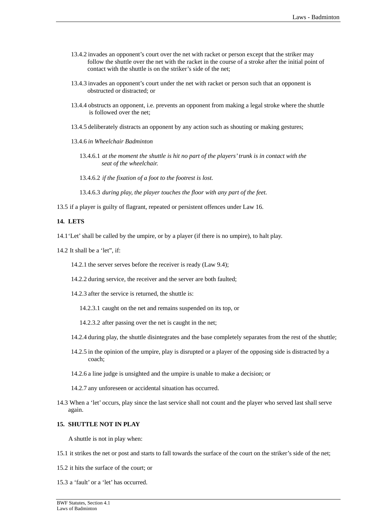- 13.4.2 invades an opponent's court over the net with racket or person except that the striker may follow the shuttle over the net with the racket in the course of a stroke after the initial point of contact with the shuttle is on the striker's side of the net;
- 13.4.3 invades an opponent's court under the net with racket or person such that an opponent is obstructed or distracted; or
- 13.4.4 obstructs an opponent, i.e. prevents an opponent from making a legal stroke where the shuttle is followed over the net;
- 13.4.5 deliberately distracts an opponent by any action such as shouting or making gestures;
- 13.4.6 *in Wheelchair Badminton* 
	- 13.4.6.1 *at the moment the shuttle is hit no part of the players' trunk is in contact with the seat of the wheelchair.*
	- 13.4.6.2 *if the fixation of a foot to the footrest is lost.*

13.4.6.3 *during play, the player touches the floor with any part of the feet.* 

13.5 if a player is guilty of flagrant, repeated or persistent offences under Law 16.

## **14. LETS**

- 14.1'Let' shall be called by the umpire, or by a player (if there is no umpire), to halt play.
- 14.2 It shall be a 'let", if:
	- 14.2.1 the server serves before the receiver is ready (Law 9.4);
	- 14.2.2 during service, the receiver and the server are both faulted;
	- 14.2.3 after the service is returned, the shuttle is:
		- 14.2.3.1 caught on the net and remains suspended on its top, or
		- 14.2.3.2 after passing over the net is caught in the net;
	- 14.2.4 during play, the shuttle disintegrates and the base completely separates from the rest of the shuttle;
	- 14.2.5 in the opinion of the umpire, play is disrupted or a player of the opposing side is distracted by a coach;
	- 14.2.6 a line judge is unsighted and the umpire is unable to make a decision; or
	- 14.2.7 any unforeseen or accidental situation has occurred.
- 14.3 When a 'let' occurs, play since the last service shall not count and the player who served last shall serve again.

## **15. SHUTTLE NOT IN PLAY**

A shuttle is not in play when:

- 15.1 it strikes the net or post and starts to fall towards the surface of the court on the striker's side of the net;
- 15.2 it hits the surface of the court; or
- 15.3 a 'fault' or a 'let' has occurred.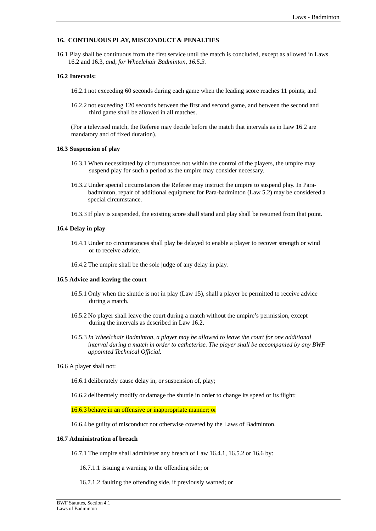## **16. CONTINUOUS PLAY, MISCONDUCT & PENALTIES**

16.1 Play shall be continuous from the first service until the match is concluded, except as allowed in Laws 16.2 and 16.3*, and, for Wheelchair Badminton, 16.5.3.*

## **16.2 Intervals:**

- 16.2.1 not exceeding 60 seconds during each game when the leading score reaches 11 points; and
- 16.2.2 not exceeding 120 seconds between the first and second game, and between the second and third game shall be allowed in all matches.

 (For a televised match, the Referee may decide before the match that intervals as in Law 16.2 are mandatory and of fixed duration).

#### **16.3 Suspension of play**

- 16.3.1 When necessitated by circumstances not within the control of the players, the umpire may suspend play for such a period as the umpire may consider necessary.
- 16.3.2 Under special circumstances the Referee may instruct the umpire to suspend play. In Parabadminton, repair of additional equipment for Para-badminton (Law 5.2) may be considered a special circumstance.
- 16.3.3 If play is suspended, the existing score shall stand and play shall be resumed from that point.

#### **16.4 Delay in play**

- 16.4.1 Under no circumstances shall play be delayed to enable a player to recover strength or wind or to receive advice.
- 16.4.2 The umpire shall be the sole judge of any delay in play.

#### **16.5 Advice and leaving the court**

- 16.5.1 Only when the shuttle is not in play (Law 15), shall a player be permitted to receive advice during a match.
- 16.5.2 No player shall leave the court during a match without the umpire's permission, except during the intervals as described in Law 16.2.
- 16.5.3 *In Wheelchair Badminton, a player may be allowed to leave the court for one additional interval during a match in order to catheterise. The player shall be accompanied by any BWF appointed Technical Official.*
- 16.6 A player shall not:
	- 16.6.1 deliberately cause delay in, or suspension of, play;
	- 16.6.2 deliberately modify or damage the shuttle in order to change its speed or its flight;

16.6.3 behave in an offensive or inappropriate manner; or

16.6.4 be guilty of misconduct not otherwise covered by the Laws of Badminton.

## **16.7 Administration of breach**

16.7.1 The umpire shall administer any breach of Law 16.4.1, 16.5.2 or 16.6 by:

16.7.1.1 issuing a warning to the offending side; or

16.7.1.2 faulting the offending side, if previously warned; or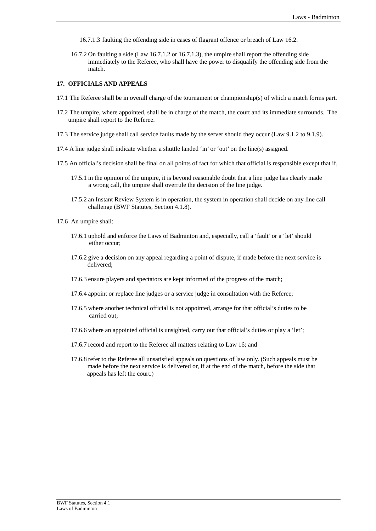- 16.7.1.3 faulting the offending side in cases of flagrant offence or breach of Law 16.2.
- 16.7.2 On faulting a side (Law 16.7.1.2 or 16.7.1.3), the umpire shall report the offending side immediately to the Referee, who shall have the power to disqualify the offending side from the match.

## **17. OFFICIALS AND APPEALS**

- 17.1 The Referee shall be in overall charge of the tournament or championship(s) of which a match forms part.
- 17.2 The umpire, where appointed, shall be in charge of the match, the court and its immediate surrounds. The umpire shall report to the Referee.
- 17.3 The service judge shall call service faults made by the server should they occur (Law 9.1.2 to 9.1.9).
- 17.4 A line judge shall indicate whether a shuttle landed 'in' or 'out' on the line(s) assigned.
- 17.5 An official's decision shall be final on all points of fact for which that official is responsible except that if,
	- 17.5.1 in the opinion of the umpire, it is beyond reasonable doubt that a line judge has clearly made a wrong call, the umpire shall overrule the decision of the line judge.
	- 17.5.2 an Instant Review System is in operation, the system in operation shall decide on any line call challenge (BWF Statutes, Section 4.1.8).
- 17.6 An umpire shall:
	- 17.6.1 uphold and enforce the Laws of Badminton and, especially, call a 'fault' or a 'let' should either occur;
	- 17.6.2 give a decision on any appeal regarding a point of dispute, if made before the next service is delivered;
	- 17.6.3 ensure players and spectators are kept informed of the progress of the match;
	- 17.6.4 appoint or replace line judges or a service judge in consultation with the Referee;
	- 17.6.5 where another technical official is not appointed, arrange for that official's duties to be carried out;
	- 17.6.6 where an appointed official is unsighted, carry out that official's duties or play a 'let';
	- 17.6.7 record and report to the Referee all matters relating to Law 16; and
	- 17.6.8 refer to the Referee all unsatisfied appeals on questions of law only. (Such appeals must be made before the next service is delivered or, if at the end of the match, before the side that appeals has left the court.)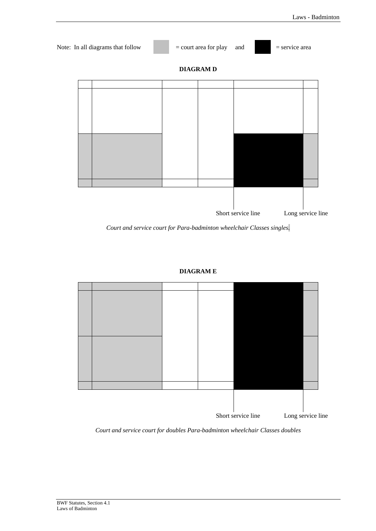

*Court and service court for Para-badminton wheelchair Classes singles.* 

## **DIAGRAM E**



*Court and service court for doubles Para-badminton wheelchair Classes doubles*